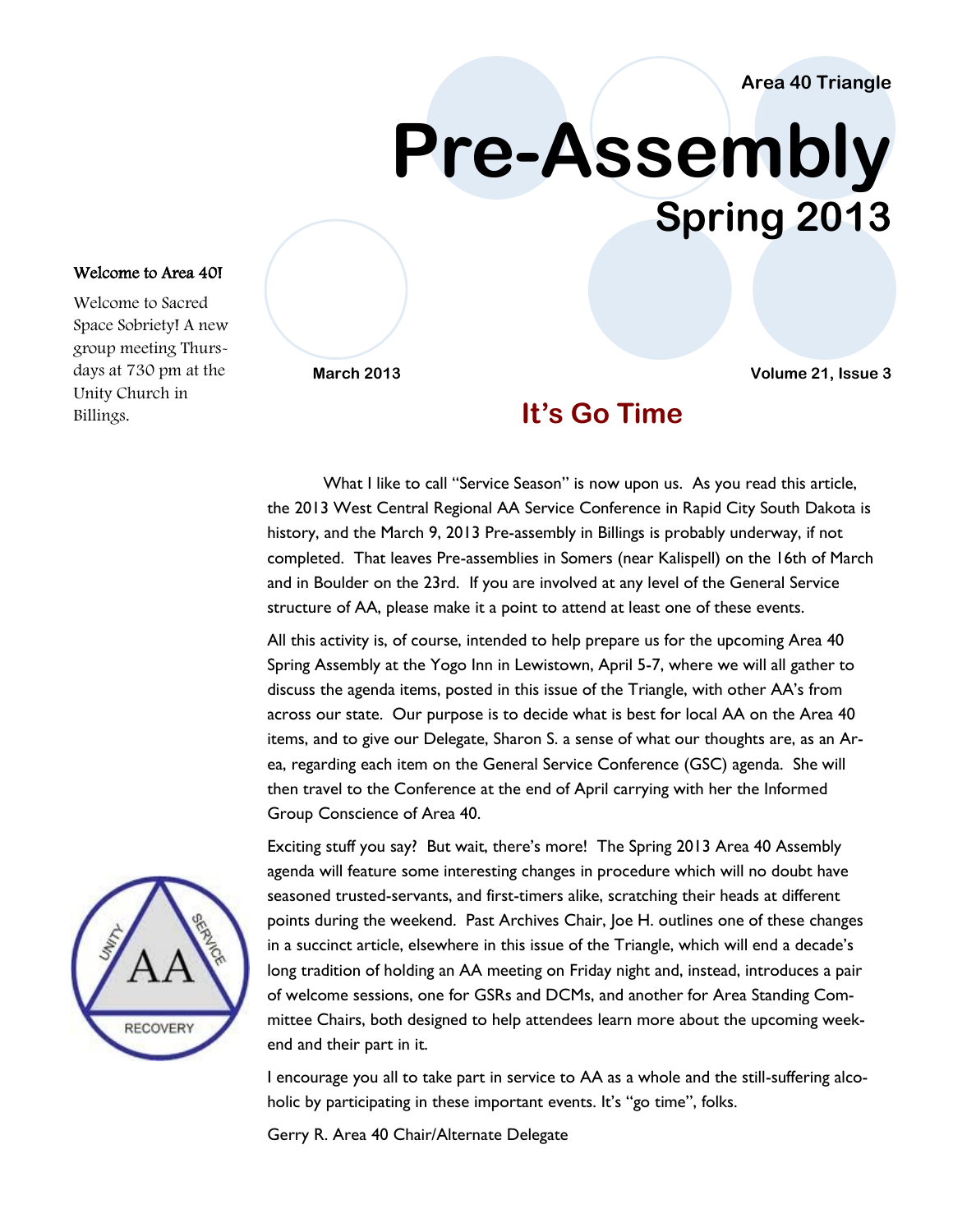## **Area 40 Triangle**

# **Pre-Assembly Spring 2013**

#### Welcome to Area 40!

Welcome to Sacred Space Sobriety! A new group meeting Thursdays at 730 pm at the Unity Church in Billings.

**March 2013 Volume 21, Issue 3**

# **It's Go Time**

What I like to call "Service Season" is now upon us. As you read this article, the 2013 West Central Regional AA Service Conference in Rapid City South Dakota is history, and the March 9, 2013 Pre-assembly in Billings is probably underway, if not completed. That leaves Pre-assemblies in Somers (near Kalispell) on the 16th of March and in Boulder on the 23rd. If you are involved at any level of the General Service structure of AA, please make it a point to attend at least one of these events.

All this activity is, of course, intended to help prepare us for the upcoming Area 40 Spring Assembly at the Yogo Inn in Lewistown, April 5-7, where we will all gather to discuss the agenda items, posted in this issue of the Triangle, with other AA's from across our state. Our purpose is to decide what is best for local AA on the Area 40 items, and to give our Delegate, Sharon S. a sense of what our thoughts are, as an Area, regarding each item on the General Service Conference (GSC) agenda. She will then travel to the Conference at the end of April carrying with her the Informed Group Conscience of Area 40.

Exciting stuff you say? But wait, there's more! The Spring 2013 Area 40 Assembly agenda will feature some interesting changes in procedure which will no doubt have seasoned trusted-servants, and first-timers alike, scratching their heads at different points during the weekend. Past Archives Chair, Joe H. outlines one of these changes in a succinct article, elsewhere in this issue of the Triangle, which will end a decade's long tradition of holding an AA meeting on Friday night and, instead, introduces a pair of welcome sessions, one for GSRs and DCMs, and another for Area Standing Committee Chairs, both designed to help attendees learn more about the upcoming weekend and their part in it.

I encourage you all to take part in service to AA as a whole and the still-suffering alcoholic by participating in these important events. It's "go time", folks.

Gerry R. Area 40 Chair/Alternate Delegate

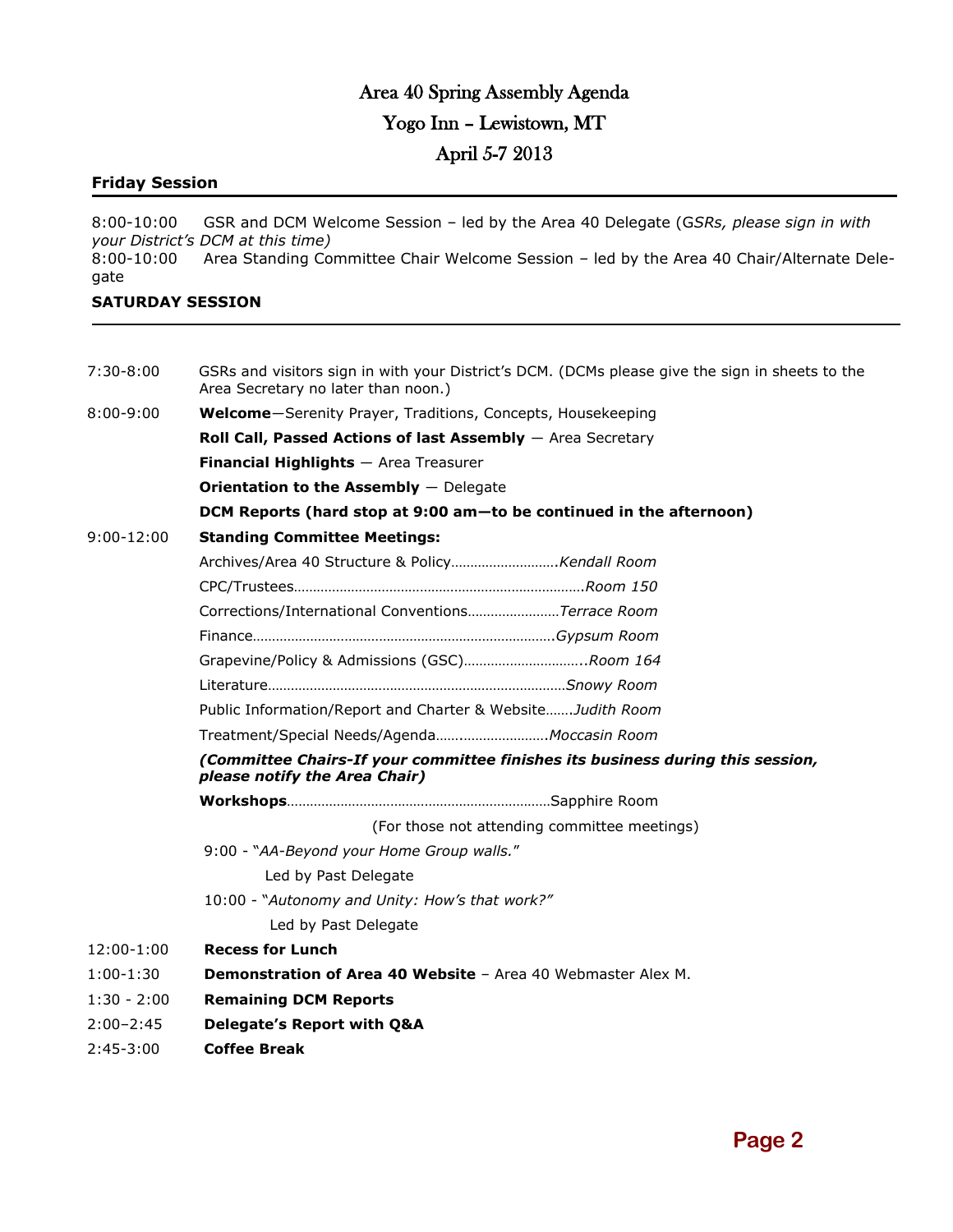# Area 40 Spring Assembly Agenda Yogo Inn – Lewistown, MT April 5-7 2013

## **Friday Session**

8:00-10:00 GSR and DCM Welcome Session – led by the Area 40 Delegate (G*SRs, please sign in with your District's DCM at this time)* 8:00-10:00 Area Standing Committee Chair Welcome Session – led by the Area 40 Chair/Alternate Delegate

## **SATURDAY SESSION**

| $7:30 - 8:00$  | GSRs and visitors sign in with your District's DCM. (DCMs please give the sign in sheets to the<br>Area Secretary no later than noon.) |  |  |  |  |
|----------------|----------------------------------------------------------------------------------------------------------------------------------------|--|--|--|--|
| $8:00 - 9:00$  | Welcome-Serenity Prayer, Traditions, Concepts, Housekeeping                                                                            |  |  |  |  |
|                | Roll Call, Passed Actions of last Assembly $-$ Area Secretary                                                                          |  |  |  |  |
|                | <b>Financial Highlights</b> $-$ Area Treasurer                                                                                         |  |  |  |  |
|                | <b>Orientation to the Assembly</b> $-$ Delegate                                                                                        |  |  |  |  |
|                | DCM Reports (hard stop at 9:00 am-to be continued in the afternoon)                                                                    |  |  |  |  |
| $9:00 - 12:00$ | <b>Standing Committee Meetings:</b>                                                                                                    |  |  |  |  |
|                |                                                                                                                                        |  |  |  |  |
|                |                                                                                                                                        |  |  |  |  |
|                | Corrections/International ConventionsTerrace Room                                                                                      |  |  |  |  |
|                |                                                                                                                                        |  |  |  |  |
|                | Grapevine/Policy & Admissions (GSC)Room 164                                                                                            |  |  |  |  |
|                |                                                                                                                                        |  |  |  |  |
|                | Public Information/Report and Charter & Website Judith Room                                                                            |  |  |  |  |
|                | Treatment/Special Needs/AgendaMoccasin Room                                                                                            |  |  |  |  |
|                | (Committee Chairs-If your committee finishes its business during this session,<br>please notify the Area Chair)                        |  |  |  |  |
|                |                                                                                                                                        |  |  |  |  |
|                | (For those not attending committee meetings)                                                                                           |  |  |  |  |
|                | 9:00 - "AA-Beyond your Home Group walls."                                                                                              |  |  |  |  |
|                | Led by Past Delegate                                                                                                                   |  |  |  |  |
|                | 10:00 - "Autonomy and Unity: How's that work?"                                                                                         |  |  |  |  |
|                | Led by Past Delegate                                                                                                                   |  |  |  |  |
| 12:00-1:00     | <b>Recess for Lunch</b>                                                                                                                |  |  |  |  |
| $1:00-1:30$    | <b>Demonstration of Area 40 Website - Area 40 Webmaster Alex M.</b>                                                                    |  |  |  |  |
| $1:30 - 2:00$  | <b>Remaining DCM Reports</b>                                                                                                           |  |  |  |  |
| $2:00 - 2:45$  | Delegate's Report with Q&A                                                                                                             |  |  |  |  |
| $2:45-3:00$    | <b>Coffee Break</b>                                                                                                                    |  |  |  |  |
|                |                                                                                                                                        |  |  |  |  |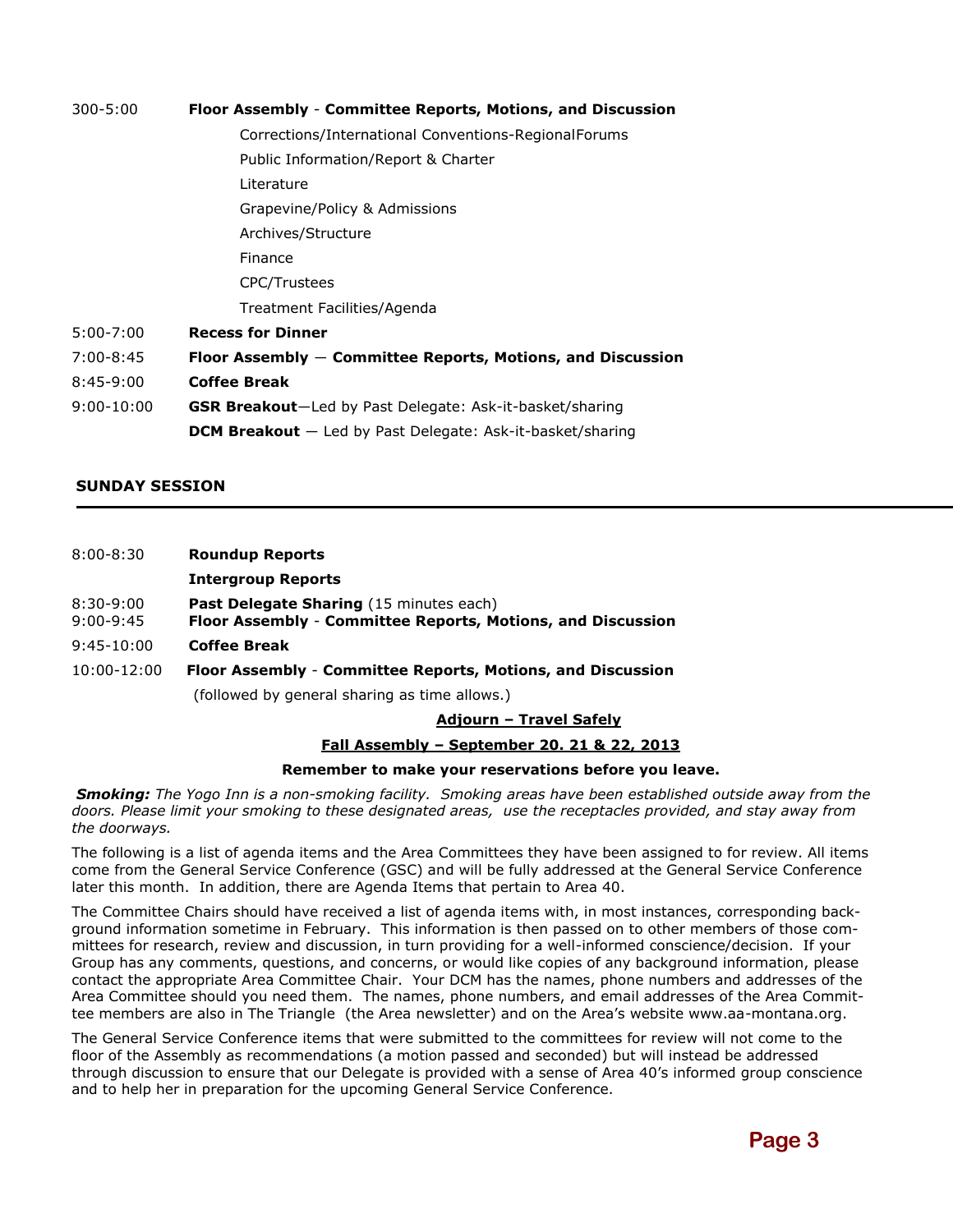| $300 - 5:00$  | Floor Assembly - Committee Reports, Motions, and Discussion   |  |  |  |  |
|---------------|---------------------------------------------------------------|--|--|--|--|
|               | Corrections/International Conventions-RegionalForums          |  |  |  |  |
|               | Public Information/Report & Charter                           |  |  |  |  |
|               | Literature                                                    |  |  |  |  |
|               | Grapevine/Policy & Admissions                                 |  |  |  |  |
|               | Archives/Structure                                            |  |  |  |  |
|               | Finance                                                       |  |  |  |  |
|               | <b>CPC/Trustees</b>                                           |  |  |  |  |
|               | Treatment Facilities/Agenda                                   |  |  |  |  |
| $5:00 - 7:00$ | <b>Recess for Dinner</b>                                      |  |  |  |  |
| $7:00-8:45$   | Floor Assembly $-$ Committee Reports, Motions, and Discussion |  |  |  |  |
| $8:45-9:00$   | <b>Coffee Break</b>                                           |  |  |  |  |
| .             |                                                               |  |  |  |  |

9:00-10:00 **GSR Breakout**―Led by Past Delegate: Ask-it-basket/sharing **DCM Breakout** ― Led by Past Delegate: Ask-it-basket/sharing

#### **SUNDAY SESSION**

| $8:00 - 8:30$              | <b>Roundup Reports</b>                                                                                 |
|----------------------------|--------------------------------------------------------------------------------------------------------|
|                            | <b>Intergroup Reports</b>                                                                              |
| $8:30-9:00$<br>$9:00-9:45$ | Past Delegate Sharing (15 minutes each)<br>Floor Assembly - Committee Reports, Motions, and Discussion |
| $9:45-10:00$               | <b>Coffee Break</b>                                                                                    |
| 10:00-12:00                | Floor Assembly - Committee Reports, Motions, and Discussion                                            |

(followed by general sharing as time allows.)

**Adjourn – Travel Safely**

#### **Fall Assembly – September 20. 21 & 22, 2013**

#### **Remember to make your reservations before you leave.**

*Smoking: The Yogo Inn is a non-smoking facility. Smoking areas have been established outside away from the doors. Please limit your smoking to these designated areas, use the receptacles provided, and stay away from the doorways.*

The following is a list of agenda items and the Area Committees they have been assigned to for review. All items come from the General Service Conference (GSC) and will be fully addressed at the General Service Conference later this month. In addition, there are Agenda Items that pertain to Area 40.

The Committee Chairs should have received a list of agenda items with, in most instances, corresponding background information sometime in February. This information is then passed on to other members of those committees for research, review and discussion, in turn providing for a well-informed conscience/decision. If your Group has any comments, questions, and concerns, or would like copies of any background information, please contact the appropriate Area Committee Chair. Your DCM has the names, phone numbers and addresses of the Area Committee should you need them. The names, phone numbers, and email addresses of the Area Committee members are also in The Triangle (the Area newsletter) and on the Area's website www.aa-montana.org.

The General Service Conference items that were submitted to the committees for review will not come to the floor of the Assembly as recommendations (a motion passed and seconded) but will instead be addressed through discussion to ensure that our Delegate is provided with a sense of Area 40's informed group conscience and to help her in preparation for the upcoming General Service Conference.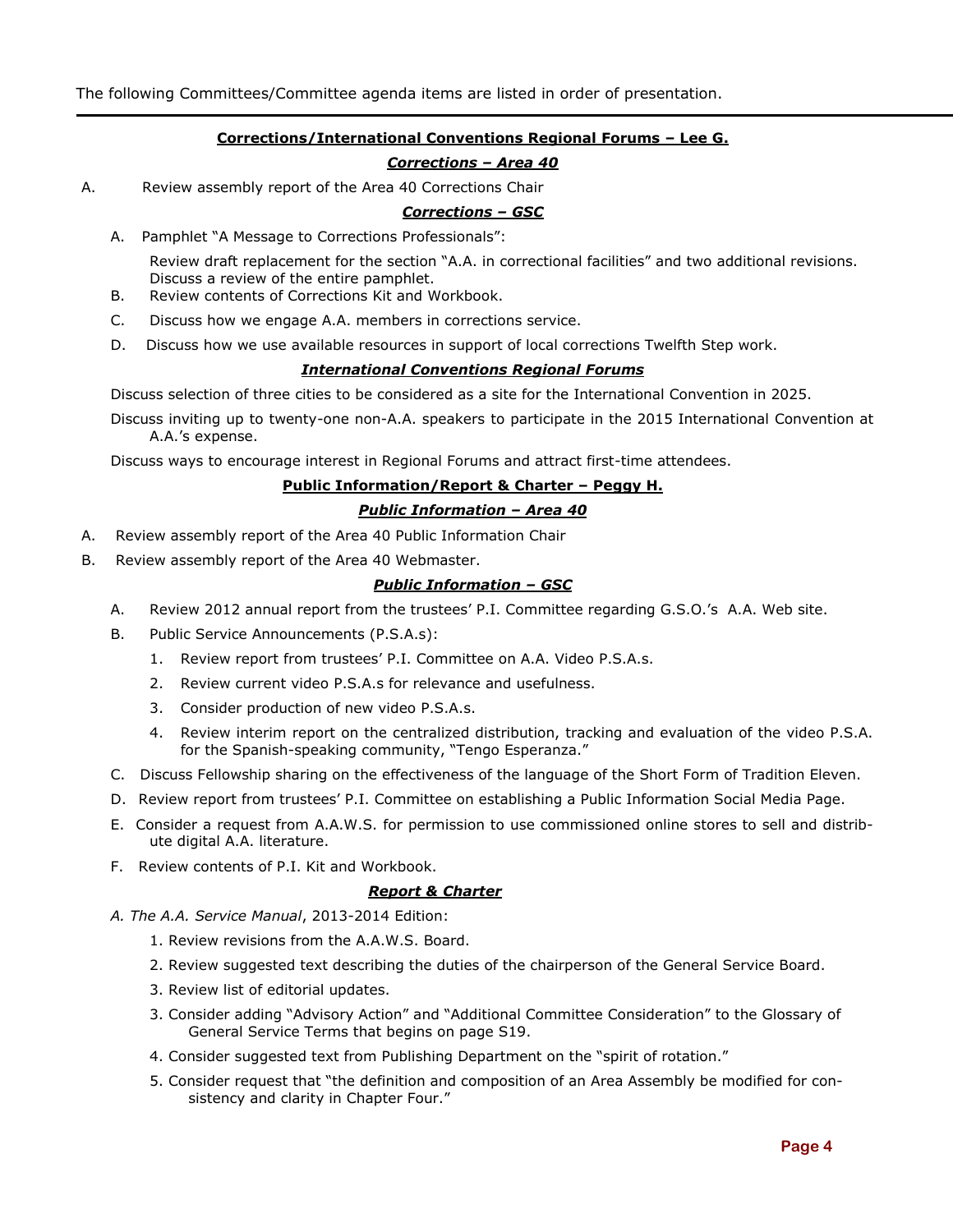#### **Corrections/International Conventions Regional Forums – Lee G.**

## *Corrections – Area 40*

A. Review assembly report of the Area 40 Corrections Chair

#### *Corrections – GSC*

A. Pamphlet "A Message to Corrections Professionals":

Review draft replacement for the section "A.A. in correctional facilities" and two additional revisions. Discuss a review of the entire pamphlet.

- B. Review contents of Corrections Kit and Workbook.
- C. Discuss how we engage A.A. members in corrections service.
- D. Discuss how we use available resources in support of local corrections Twelfth Step work.

#### *International Conventions Regional Forums*

Discuss selection of three cities to be considered as a site for the International Convention in 2025.

Discuss inviting up to twenty-one non-A.A. speakers to participate in the 2015 International Convention at A.A.'s expense.

Discuss ways to encourage interest in Regional Forums and attract first-time attendees.

#### **Public Information/Report & Charter – Peggy H.**

#### *Public Information – Area 40*

- A. Review assembly report of the Area 40 Public Information Chair
- B. Review assembly report of the Area 40 Webmaster.

#### *Public Information – GSC*

- A. Review 2012 annual report from the trustees' P.I. Committee regarding G.S.O.'s A.A. Web site.
- B. Public Service Announcements (P.S.A.s):
	- 1. Review report from trustees' P.I. Committee on A.A. Video P.S.A.s.
	- 2. Review current video P.S.A.s for relevance and usefulness.
	- 3. Consider production of new video P.S.A.s.
	- 4. Review interim report on the centralized distribution, tracking and evaluation of the video P.S.A. for the Spanish-speaking community, "Tengo Esperanza."
- C. Discuss Fellowship sharing on the effectiveness of the language of the Short Form of Tradition Eleven.
- D. Review report from trustees' P.I. Committee on establishing a Public Information Social Media Page.
- E. Consider a request from A.A.W.S. for permission to use commissioned online stores to sell and distribute digital A.A. literature.
- F. Review contents of P.I. Kit and Workbook.

#### *Report & Charter*

- *A. The A.A. Service Manual*, 2013-2014 Edition:
	- 1. Review revisions from the A.A.W.S. Board.
	- 2. Review suggested text describing the duties of the chairperson of the General Service Board.
	- 3. Review list of editorial updates.
	- 3. Consider adding "Advisory Action" and "Additional Committee Consideration" to the Glossary of General Service Terms that begins on page S19.
	- 4. Consider suggested text from Publishing Department on the "spirit of rotation."
	- 5. Consider request that "the definition and composition of an Area Assembly be modified for consistency and clarity in Chapter Four."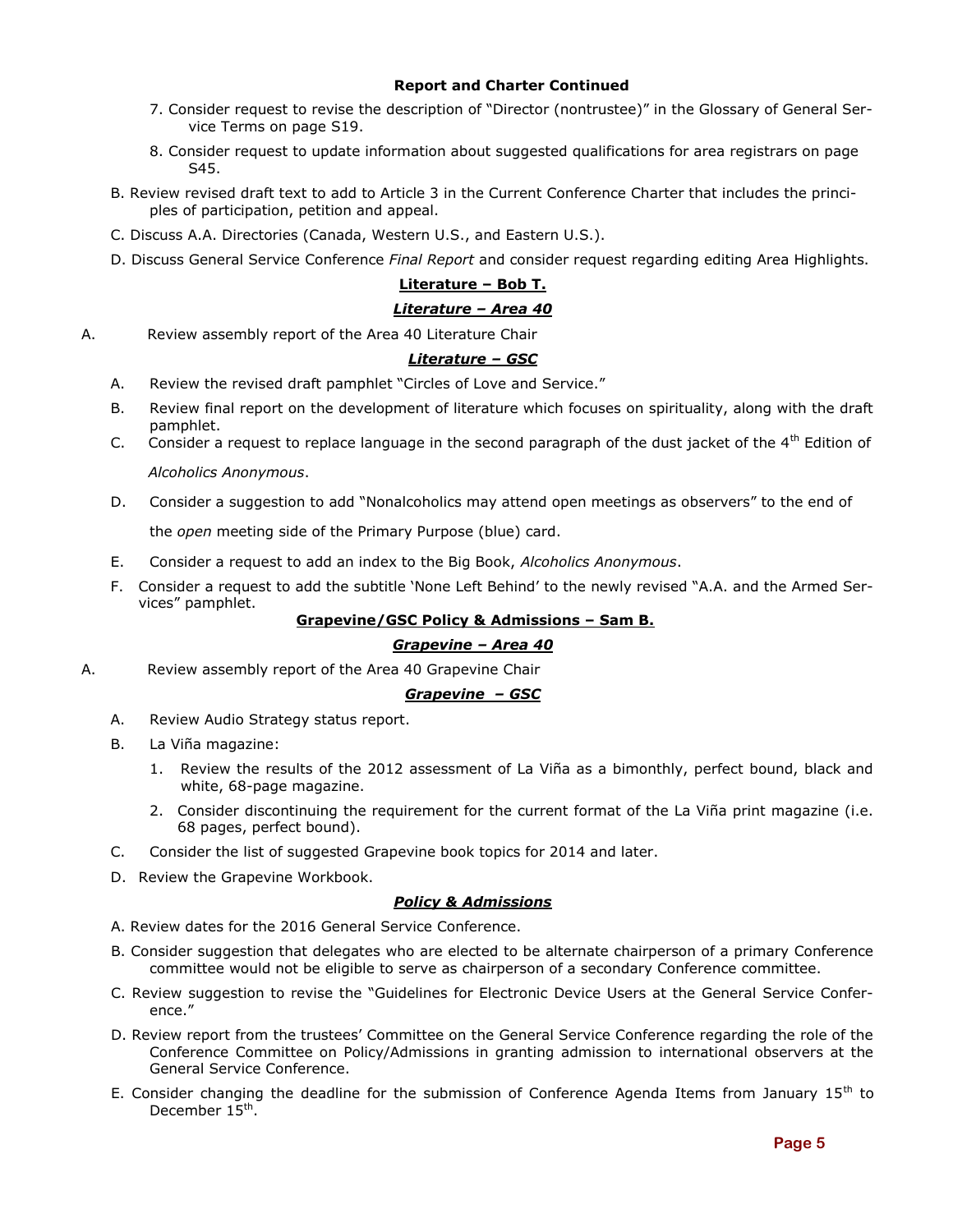#### **Report and Charter Continued**

- 7. Consider request to revise the description of "Director (nontrustee)" in the Glossary of General Service Terms on page S19.
- 8. Consider request to update information about suggested qualifications for area registrars on page S45.
- B. Review revised draft text to add to Article 3 in the Current Conference Charter that includes the principles of participation, petition and appeal.
- C. Discuss A.A. Directories (Canada, Western U.S., and Eastern U.S.).
- D. Discuss General Service Conference *Final Report* and consider request regarding editing Area Highlights.

## **Literature – Bob T.**

#### *Literature – Area 40*

A. Review assembly report of the Area 40 Literature Chair

#### *Literature – GSC*

- A. Review the revised draft pamphlet "Circles of Love and Service."
- B. Review final report on the development of literature which focuses on spirituality, along with the draft pamphlet.
- C. Consider a request to replace language in the second paragraph of the dust jacket of the  $4<sup>th</sup>$  Edition of *Alcoholics Anonymous*.
- D. Consider a suggestion to add "Nonalcoholics may attend open meetings as observers" to the end of

the *open* meeting side of the Primary Purpose (blue) card.

- E. Consider a request to add an index to the Big Book, *Alcoholics Anonymous*.
- F. Consider a request to add the subtitle 'None Left Behind' to the newly revised "A.A. and the Armed Services" pamphlet.

#### **Grapevine/GSC Policy & Admissions – Sam B.**

#### *Grapevine – Area 40*

A. Review assembly report of the Area 40 Grapevine Chair

#### *Grapevine – GSC*

- A. Review Audio Strategy status report.
- B. La Viña magazine:
	- 1. Review the results of the 2012 assessment of La Viña as a bimonthly, perfect bound, black and white, 68-page magazine.
	- 2. Consider discontinuing the requirement for the current format of the La Viña print magazine (i.e. 68 pages, perfect bound).
- C. Consider the list of suggested Grapevine book topics for 2014 and later.
- D. Review the Grapevine Workbook.

#### *Policy & Admissions*

- A. Review dates for the 2016 General Service Conference.
- B. Consider suggestion that delegates who are elected to be alternate chairperson of a primary Conference committee would not be eligible to serve as chairperson of a secondary Conference committee.
- C. Review suggestion to revise the "Guidelines for Electronic Device Users at the General Service Conference."
- D. Review report from the trustees' Committee on the General Service Conference regarding the role of the Conference Committee on Policy/Admissions in granting admission to international observers at the General Service Conference.
- E. Consider changing the deadline for the submission of Conference Agenda Items from January  $15<sup>th</sup>$  to December 15<sup>th</sup>.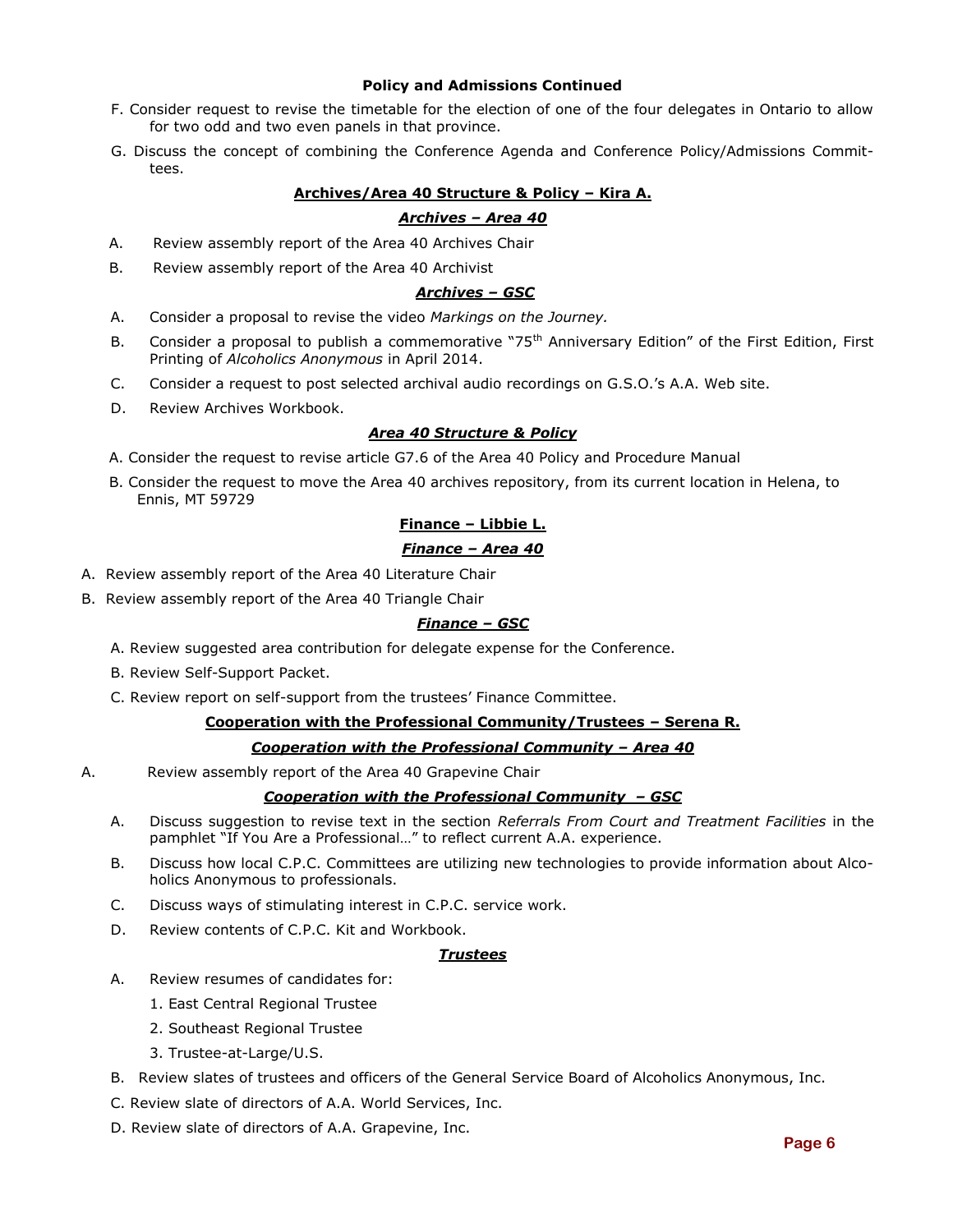#### **Policy and Admissions Continued**

- F. Consider request to revise the timetable for the election of one of the four delegates in Ontario to allow for two odd and two even panels in that province.
- G. Discuss the concept of combining the Conference Agenda and Conference Policy/Admissions Committees.

#### **Archives/Area 40 Structure & Policy – Kira A.**

#### *Archives – Area 40*

- A. Review assembly report of the Area 40 Archives Chair
- B. Review assembly report of the Area 40 Archivist

#### *Archives – GSC*

- A. Consider a proposal to revise the video *Markings on the Journey.*
- B. Consider a proposal to publish a commemorative "75<sup>th</sup> Anniversary Edition" of the First Edition, First Printing of *Alcoholics Anonymous* in April 2014.
- C. Consider a request to post selected archival audio recordings on G.S.O.'s A.A. Web site.
- D. Review Archives Workbook.

#### *Area 40 Structure & Policy*

- A. Consider the request to revise article G7.6 of the Area 40 Policy and Procedure Manual
- B. Consider the request to move the Area 40 archives repository, from its current location in Helena, to Ennis, MT 59729

#### **Finance – Libbie L.**

#### *Finance – Area 40*

- A. Review assembly report of the Area 40 Literature Chair
- B. Review assembly report of the Area 40 Triangle Chair

#### *Finance – GSC*

- A. Review suggested area contribution for delegate expense for the Conference.
- B. Review Self-Support Packet.
- C. Review report on self-support from the trustees' Finance Committee.

#### **Cooperation with the Professional Community/Trustees – Serena R.**

#### *Cooperation with the Professional Community – Area 40*

A. Review assembly report of the Area 40 Grapevine Chair

#### *Cooperation with the Professional Community – GSC*

- A. Discuss suggestion to revise text in the section *Referrals From Court and Treatment Facilities* in the pamphlet "If You Are a Professional…" to reflect current A.A. experience.
- B. Discuss how local C.P.C. Committees are utilizing new technologies to provide information about Alcoholics Anonymous to professionals.
- C. Discuss ways of stimulating interest in C.P.C. service work.
- D. Review contents of C.P.C. Kit and Workbook.

#### *Trustees*

- A. Review resumes of candidates for:
	- 1. East Central Regional Trustee
	- 2. Southeast Regional Trustee
	- 3. Trustee-at-Large/U.S.
- B. Review slates of trustees and officers of the General Service Board of Alcoholics Anonymous, Inc.
- C. Review slate of directors of A.A. World Services, Inc.
- D. Review slate of directors of A.A. Grapevine, Inc.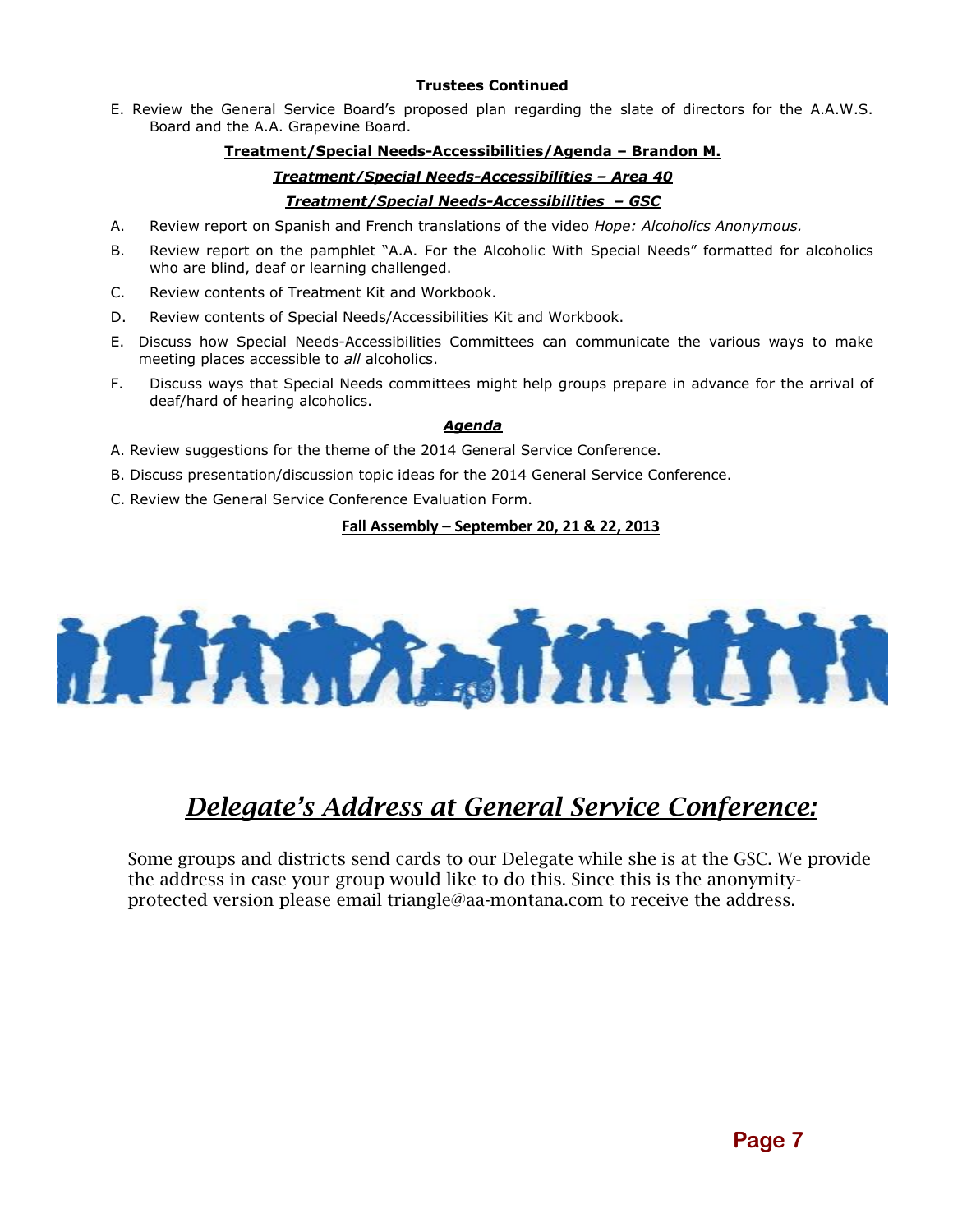#### **Trustees Continued**

E. Review the General Service Board's proposed plan regarding the slate of directors for the A.A.W.S. Board and the A.A. Grapevine Board.

#### **Treatment/Special Needs-Accessibilities/Agenda – Brandon M.**

# *Treatment/Special Needs-Accessibilities – Area 40*

## *Treatment/Special Needs-Accessibilities – GSC*

- A. Review report on Spanish and French translations of the video *Hope: Alcoholics Anonymous.*
- B. Review report on the pamphlet "A.A. For the Alcoholic With Special Needs" formatted for alcoholics who are blind, deaf or learning challenged.
- C. Review contents of Treatment Kit and Workbook.
- D. Review contents of Special Needs/Accessibilities Kit and Workbook.
- E. Discuss how Special Needs-Accessibilities Committees can communicate the various ways to make meeting places accessible to *all* alcoholics.
- F. Discuss ways that Special Needs committees might help groups prepare in advance for the arrival of deaf/hard of hearing alcoholics.

#### *Agenda*

- A. Review suggestions for the theme of the 2014 General Service Conference.
- B. Discuss presentation/discussion topic ideas for the 2014 General Service Conference.
- C. Review the General Service Conference Evaluation Form.

## **Fall Assembly – September 20, 21 & 22, 2013**



# *Delegate's Address at General Service Conference:*

Some groups and districts send cards to our Delegate while she is at the GSC. We provide the address in case your group would like to do this. Since this is the anonymityprotected version please email triangle@aa-montana.com to receive the address.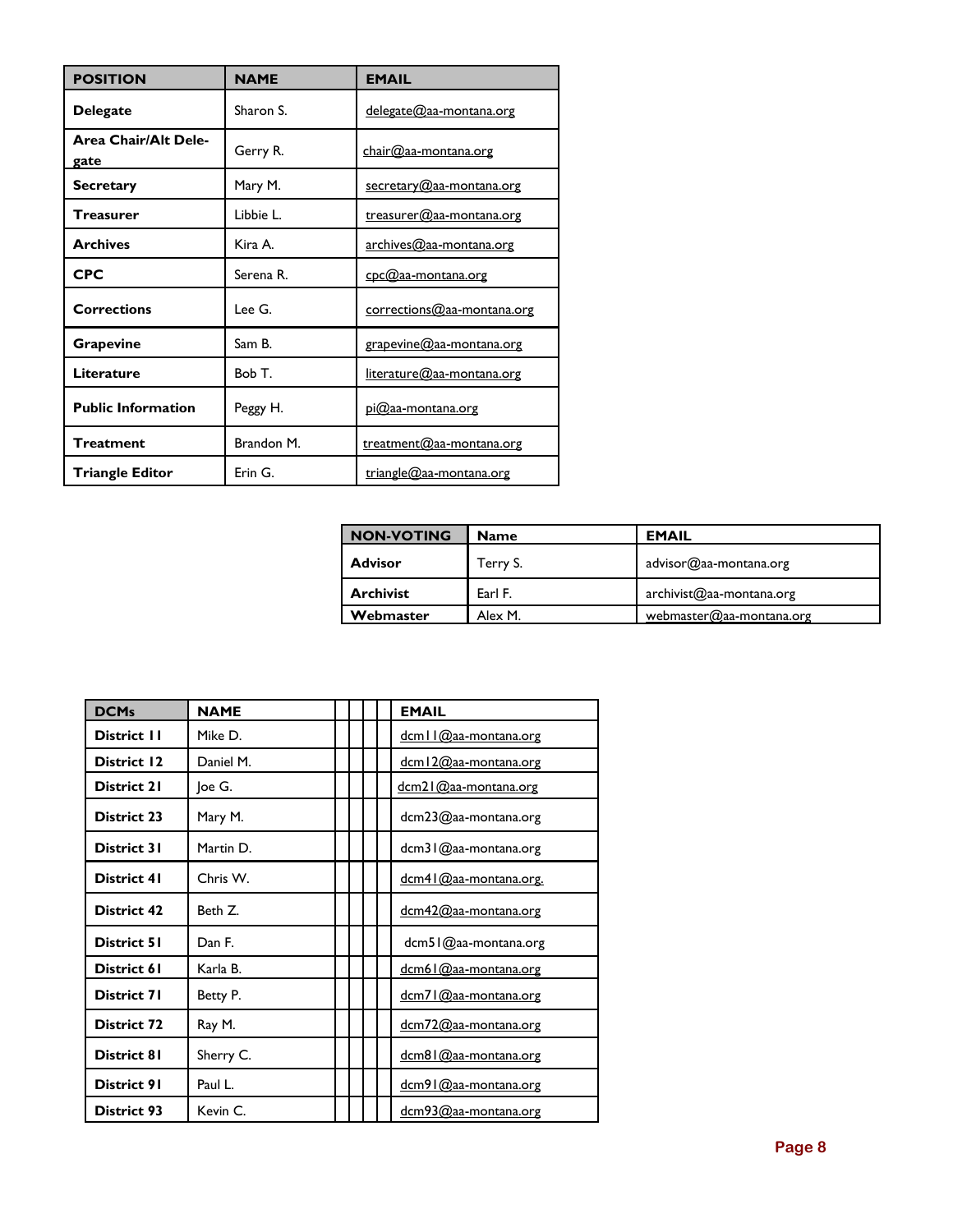| <b>POSITION</b>                     | <b>NAME</b> | <b>EMAIL</b>                     |  |
|-------------------------------------|-------------|----------------------------------|--|
| <b>Delegate</b>                     | Sharon S.   | <u>delegate@aa-montana.org</u>   |  |
| <b>Area Chair/Alt Dele-</b><br>gate | Gerry R.    | $char@{a}a$ -montana.org         |  |
| <b>Secretary</b>                    | Mary M.     | secretary@aa-montana.org         |  |
| Treasurer                           | Libbie L.   | treasurer@aa-montana.org         |  |
| <b>Archives</b>                     | Kira A.     | archives@aa-montana.org          |  |
| <b>CPC</b>                          | Serena R.   | cpc@aa-montana.org               |  |
| <b>Corrections</b>                  | Lee G.      | corrections@aa-montana.org       |  |
| Grapevine                           | Sam B.      | grapevine@aa-montana.org         |  |
| Literature                          | Bob T.      | <u>literature@aa-montana.org</u> |  |
| <b>Public Information</b>           | Peggy H.    | <u>pi@aa-montana.org</u>         |  |
| <b>Treatment</b>                    | Brandon M.  | treatment@aa-montana.org         |  |
| <b>Triangle Editor</b>              | Erin G.     | triangle@aa-montana.org          |  |

| <b>NON-VOTING</b> | <b>Name</b> | <b>EMAIL</b>             |
|-------------------|-------------|--------------------------|
| <b>Advisor</b>    | Terry S.    | advisor@aa-montana.org   |
| <b>Archivist</b>  | Earl F.     | archivist@aa-montana.org |
| Webmaster         | Alex M.     | webmaster@aa-montana.org |

| <b>DCMs</b>        | <b>NAME</b> |  | <b>EMAIL</b>           |
|--------------------|-------------|--|------------------------|
| <b>District II</b> | Mike D.     |  | dcm   1@aa-montana.org |
| <b>District 12</b> | Daniel M.   |  | dcm12@aa-montana.org   |
| <b>District 21</b> | Joe G.      |  | dcm21@aa-montana.org   |
| <b>District 23</b> | Mary M.     |  | dcm23@aa-montana.org   |
| District 31        | Martin D.   |  | dcm31@aa-montana.org   |
| District 41        | Chris W.    |  | dcm41@aa-montana.org.  |
| District 42        | Beth Z.     |  | dcm42@aa-montana.org   |
| <b>District 51</b> | Dan F.      |  | dcm51@aa-montana.org   |
| District 61        | Karla B.    |  | dcm61@aa-montana.org   |
| District 71        | Betty P.    |  | dcm71@aa-montana.org   |
| <b>District 72</b> | Ray M.      |  | dcm72@aa-montana.org   |
| District 81        | Sherry C.   |  | dcm81@aa-montana.org   |
| District 91        | Paul L.     |  | dcm91@aa-montana.org   |
| <b>District 93</b> | Kevin C.    |  | dcm93@aa-montana.org   |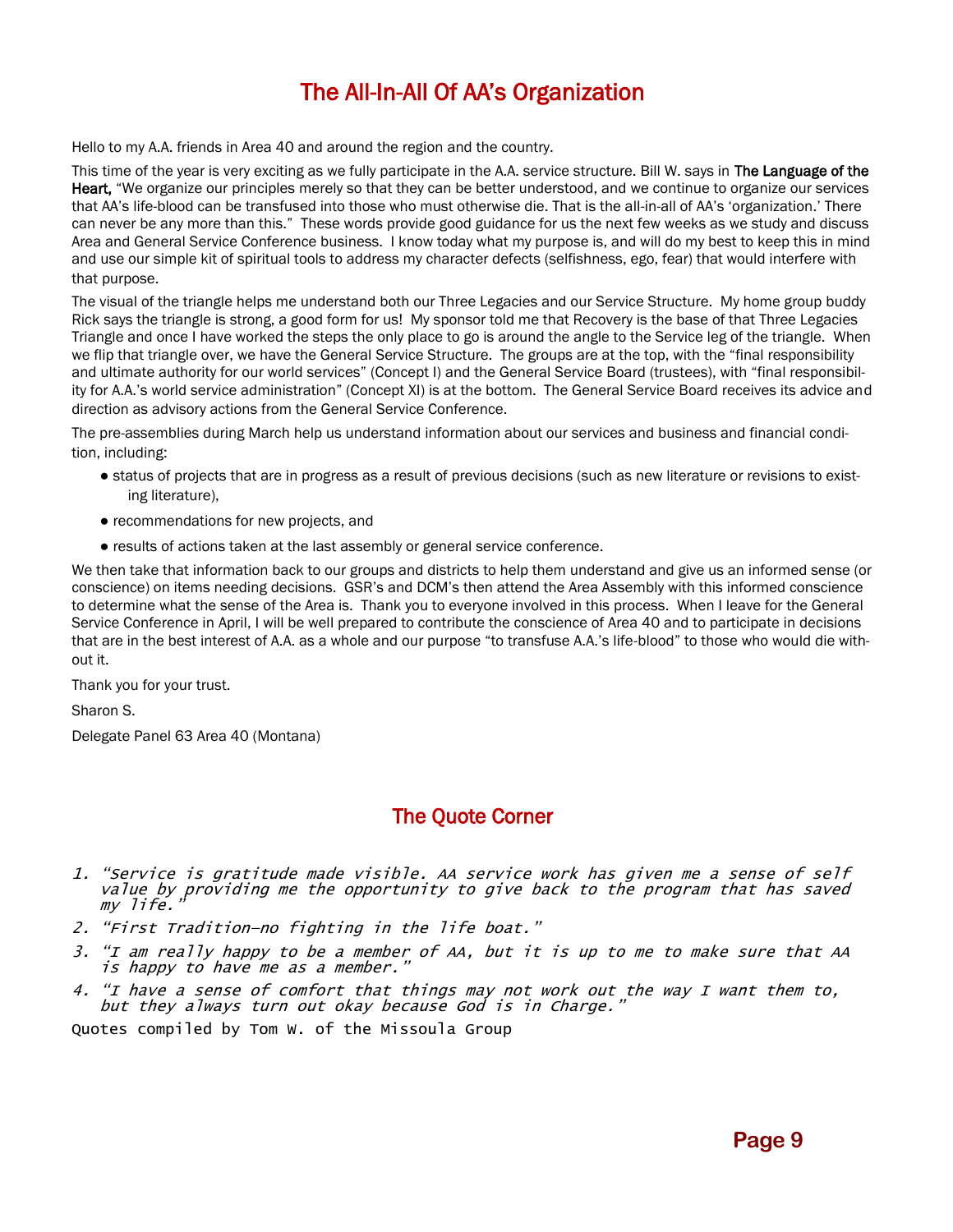# The All-In-All Of AA's Organization

Hello to my A.A. friends in Area 40 and around the region and the country.

This time of the year is very exciting as we fully participate in the A.A. service structure. Bill W. says in The Language of the Heart, "We organize our principles merely so that they can be better understood, and we continue to organize our services that AA's life-blood can be transfused into those who must otherwise die. That is the all-in-all of AA's 'organization.' There can never be any more than this." These words provide good guidance for us the next few weeks as we study and discuss Area and General Service Conference business. I know today what my purpose is, and will do my best to keep this in mind and use our simple kit of spiritual tools to address my character defects (selfishness, ego, fear) that would interfere with that purpose.

The visual of the triangle helps me understand both our Three Legacies and our Service Structure. My home group buddy Rick says the triangle is strong, a good form for us! My sponsor told me that Recovery is the base of that Three Legacies Triangle and once I have worked the steps the only place to go is around the angle to the Service leg of the triangle. When we flip that triangle over, we have the General Service Structure. The groups are at the top, with the "final responsibility and ultimate authority for our world services" (Concept I) and the General Service Board (trustees), with "final responsibility for A.A.'s world service administration" (Concept XI) is at the bottom. The General Service Board receives its advice and direction as advisory actions from the General Service Conference.

The pre-assemblies during March help us understand information about our services and business and financial condition, including:

- status of projects that are in progress as a result of previous decisions (such as new literature or revisions to existing literature),
- recommendations for new projects, and
- results of actions taken at the last assembly or general service conference.

We then take that information back to our groups and districts to help them understand and give us an informed sense (or conscience) on items needing decisions. GSR's and DCM's then attend the Area Assembly with this informed conscience to determine what the sense of the Area is. Thank you to everyone involved in this process. When I leave for the General Service Conference in April, I will be well prepared to contribute the conscience of Area 40 and to participate in decisions that are in the best interest of A.A. as a whole and our purpose "to transfuse A.A.'s life-blood" to those who would die without it.

Thank you for your trust.

Sharon S.

Delegate Panel 63 Area 40 (Montana)

# The Quote Corner

- 1. "Service is gratitude made visible. AA service work has given me a sense of self value by providing me the opportunity to give back to the program that has saved my life."
- 2. "First Tradition—no fighting in the life boat."
- 3. "I am really happy to be a member of AA, but it is up to me to make sure that AA is happy to have me as a member."
- 4. "I have a sense of comfort that things may not work out the way I want them to, but they always turn out okay because God is in Charge."

Quotes compiled by Tom W. of the Missoula Group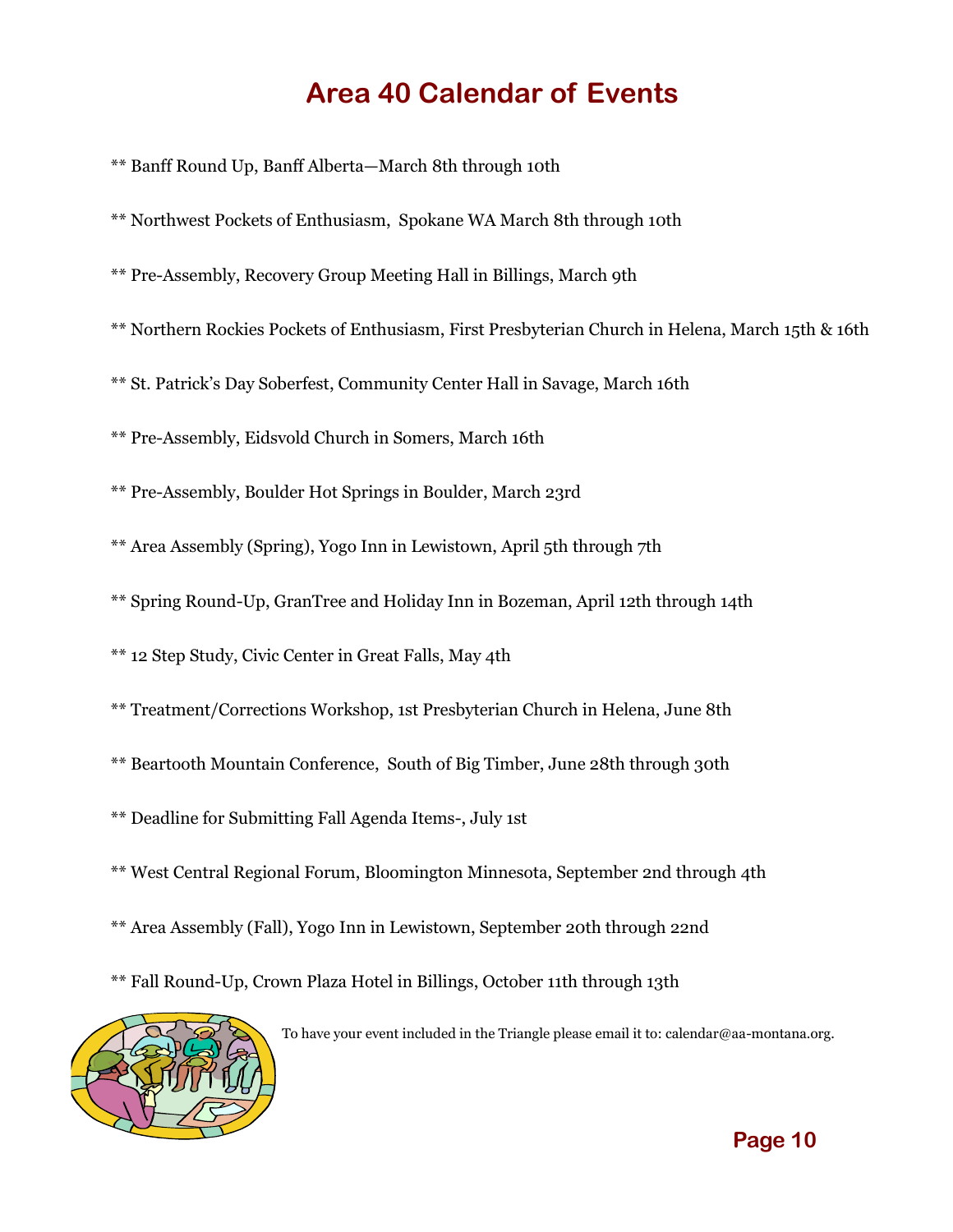# **Area 40 Calendar of Events**

\*\* Banff Round Up, Banff Alberta—March 8th through 10th

\*\* Northwest Pockets of Enthusiasm, Spokane WA March 8th through 10th

\*\* Pre-Assembly, Recovery Group Meeting Hall in Billings, March 9th

\*\* Northern Rockies Pockets of Enthusiasm, First Presbyterian Church in Helena, March 15th & 16th

\*\* St. Patrick's Day Soberfest, Community Center Hall in Savage, March 16th

\*\* Pre-Assembly, Eidsvold Church in Somers, March 16th

\*\* Pre-Assembly, Boulder Hot Springs in Boulder, March 23rd

\*\* Area Assembly (Spring), Yogo Inn in Lewistown, April 5th through 7th

\*\* Spring Round-Up, GranTree and Holiday Inn in Bozeman, April 12th through 14th

\*\* 12 Step Study, Civic Center in Great Falls, May 4th

\*\* Treatment/Corrections Workshop, 1st Presbyterian Church in Helena, June 8th

\*\* Beartooth Mountain Conference, South of Big Timber, June 28th through 30th

\*\* Deadline for Submitting Fall Agenda Items-, July 1st

\*\* West Central Regional Forum, Bloomington Minnesota, September 2nd through 4th

\*\* Area Assembly (Fall), Yogo Inn in Lewistown, September 20th through 22nd

\*\* Fall Round-Up, Crown Plaza Hotel in Billings, October 11th through 13th



To have your event included in the Triangle please email it to: calendar@aa-montana.org.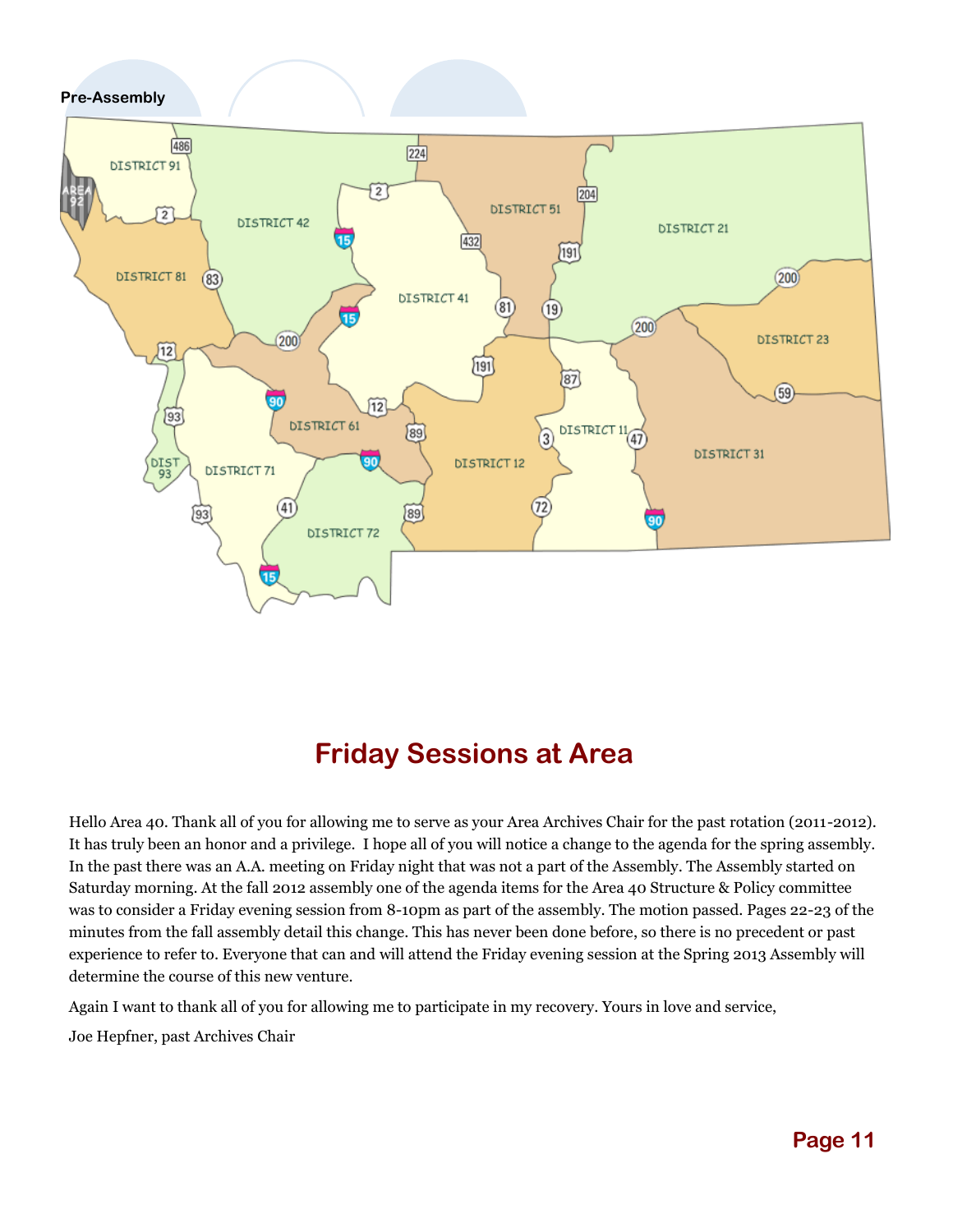## **Pre-Assembly**



# **Friday Sessions at Area**

Hello Area 40. Thank all of you for allowing me to serve as your Area Archives Chair for the past rotation (2011-2012). It has truly been an honor and a privilege. I hope all of you will notice a change to the agenda for the spring assembly. In the past there was an A.A. meeting on Friday night that was not a part of the Assembly. The Assembly started on Saturday morning. At the fall 2012 assembly one of the agenda items for the Area 40 Structure & Policy committee was to consider a Friday evening session from 8-10pm as part of the assembly. The motion passed. Pages 22-23 of the minutes from the fall assembly detail this change. This has never been done before, so there is no precedent or past experience to refer to. Everyone that can and will attend the Friday evening session at the Spring 2013 Assembly will determine the course of this new venture.

Again I want to thank all of you for allowing me to participate in my recovery. Yours in love and service,

Joe Hepfner, past Archives Chair